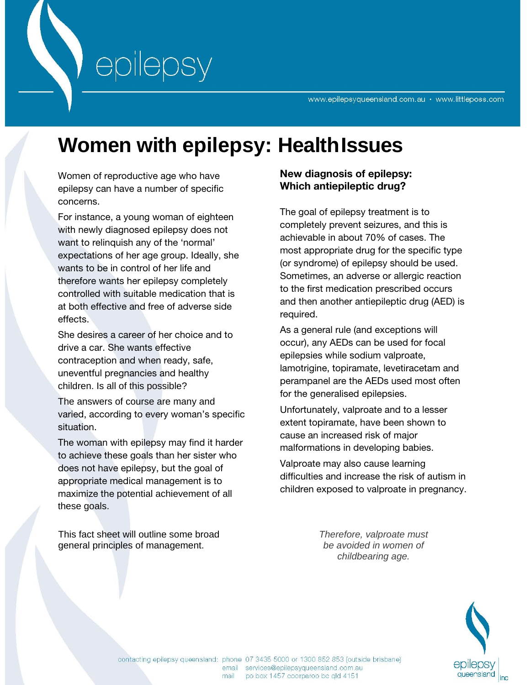# **Women with epilepsy: HealthIssues**

Women of reproductive age who have epilepsy can have a number of specific concerns.

epilepsy

For instance, a young woman of eighteen with newly diagnosed epilepsy does not want to relinquish any of the 'normal' expectations of her age group. Ideally, she wants to be in control of her life and therefore wants her epilepsy completely controlled with suitable medication that is at both effective and free of adverse side effects.

She desires a career of her choice and to drive a car. She wants effective contraception and when ready, safe, uneventful pregnancies and healthy children. Is all of this possible?

The answers of course are many and varied, according to every woman's specific situation.

The woman with epilepsy may find it harder to achieve these goals than her sister who does not have epilepsy, but the goal of appropriate medical management is to maximize the potential achievement of all these goals.

This fact sheet will outline some broad general principles of management.

## **New diagnosis of epilepsy: Which antiepileptic drug?**

The goal of epilepsy treatment is to completely prevent seizures, and this is achievable in about 70% of cases. The most appropriate drug for the specific type (or syndrome) of epilepsy should be used. Sometimes, an adverse or allergic reaction to the first medication prescribed occurs and then another antiepileptic drug (AED) is required.

As a general rule (and exceptions will occur), any AEDs can be used for focal epilepsies while sodium valproate, lamotrigine, topiramate, levetiracetam and perampanel are the AEDs used most often for the generalised epilepsies.

Unfortunately, valproate and to a lesser extent topiramate, have been shown to cause an increased risk of major malformations in developing babies.

Valproate may also cause learning difficulties and increase the risk of autism in children exposed to valproate in pregnancy.

> *Therefore, valproate must be avoided in women of childbearing age.*